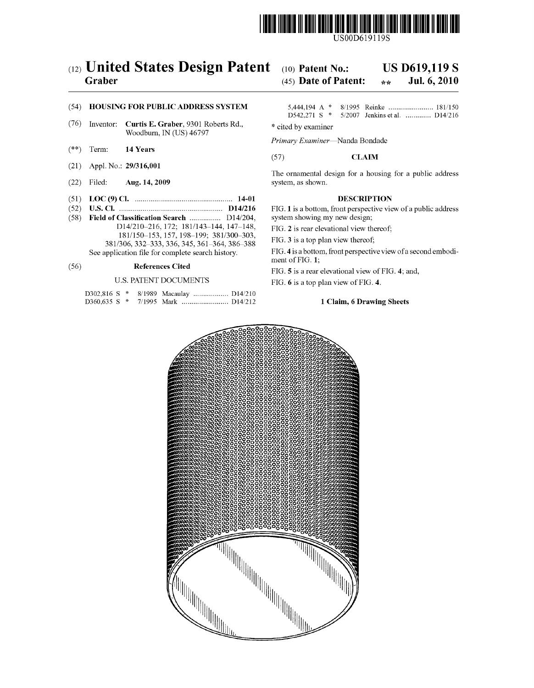

US00D619119S

# (12) United States Design Patent (10) Patent No.: US D619,119 S<br>Graber (45) Date of Patent:  $\frac{1}{2}$  and  $\frac{1}{2}$  Jul. 6, 2010

## (45) Date of Patent:  $\star \star$

- (76) Inventor: **Curtis E. Graber**, 9301 Roberts Rd., \* cited by examiner Woodburn, IN (US) 46797
- $(**)$  Term: 14 Years
- 
- 
- (51) LOC (9) Cl. .................................................. 14-01 DESCRIPTION
- (58) Field of Classification Search ................. D14/204, D14/210-216, 172; 181/143-144, 147-148, 181/150–153, 157, 198-199; 381/300-303, 381/306, 332–333, 336, 345, 361–364, 386–388<br>See application file for complete search history.

|  |  | D302,816 S * 8/1989 Macaulay  D14/210 |  |
|--|--|---------------------------------------|--|
|  |  |                                       |  |

## (54) HOUSING FOR PUBLIC ADDRESS SYSTEM 5,444, 194 A 8, 1995 Reinke ....................... 181 150 5/2007 Jenkins et al. ............. D14/216

Primary Examiner-Nanda Bondade

## (57) CLAM

(21) Appl. No.: 29/316,001 The ornamental design for a housing for a public address (22) Filed: Aug. 14, 2009 The ornamental design for a housing for a public address system, as shown.

(52) U.S. Cl. ..................................................... D14/216 FIG. 1 is a bottom, front perspective view of a public address

FIG. 2 is rear elevational view thereof;

FIG. 3 is a top plan view thereof;

FIG. 4 is a bottom, front perspective view of a second embodiment of FIG. 1;

(56) **References Cited** FIG. 5 is a rear elevational view of FIG. 4; and,

U.S. PATENT DOCUMENTS FIG. 6 is a top plan view of FIG. 4.

## 1 Claim, 6 Drawing Sheets

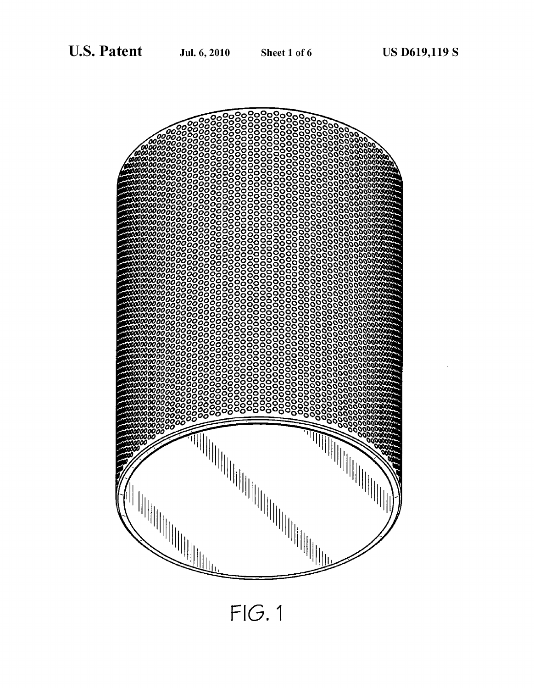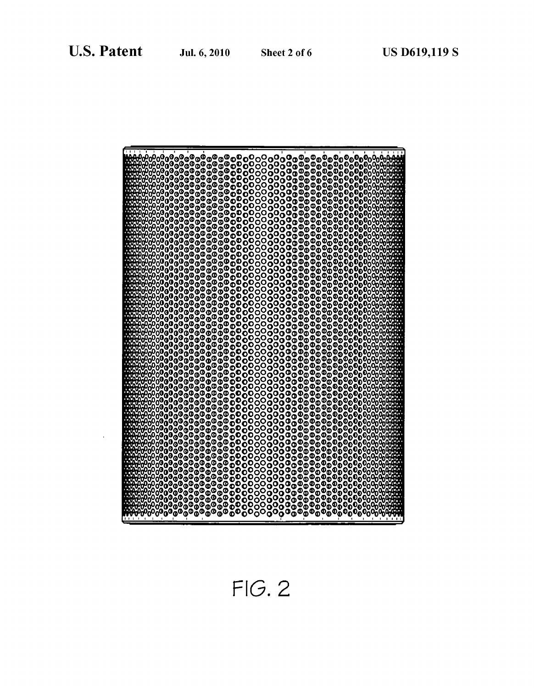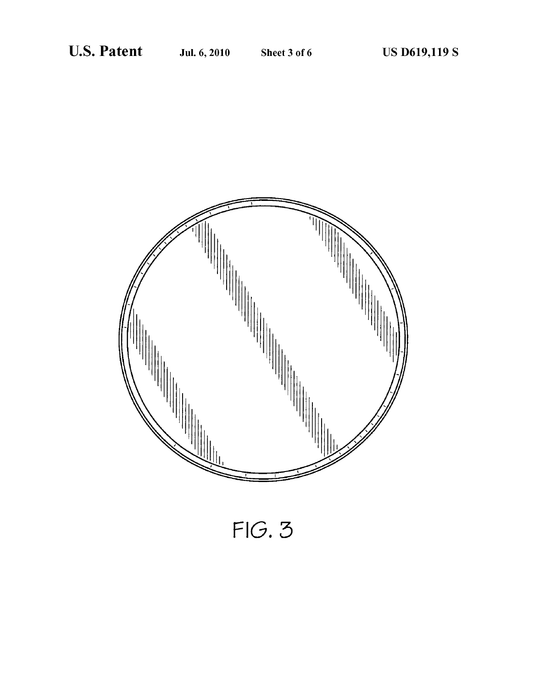

 $FIG. 3$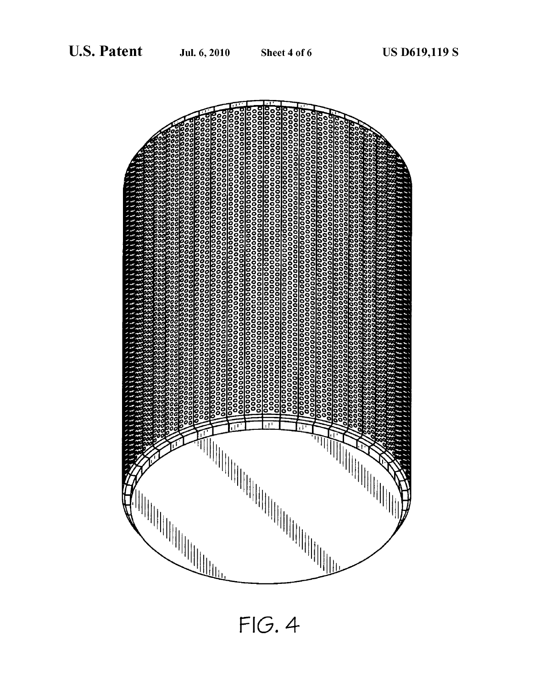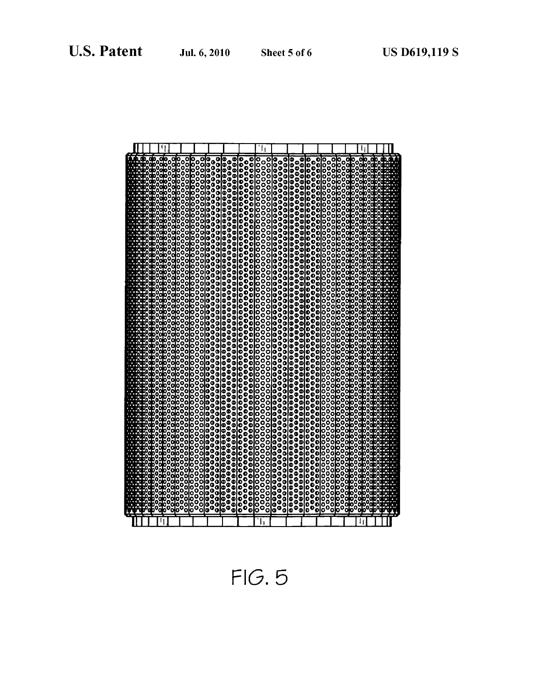|  |                       | 00<br>00<br>888888888888888 |                     | 00000000000000                                             |        |                                                          | 000000000                                         |                                                                                       |   |                  | ,,,,,,,,,,, |   |                                                                                                                                                                                                                                 |        |                   | 0<br>0<br>0<br>0<br>00000 | 0<br>0<br>0        | 000<br>000<br>8999                  | oo |                   |  |  |  |
|--|-----------------------|-----------------------------|---------------------|------------------------------------------------------------|--------|----------------------------------------------------------|---------------------------------------------------|---------------------------------------------------------------------------------------|---|------------------|-------------|---|---------------------------------------------------------------------------------------------------------------------------------------------------------------------------------------------------------------------------------|--------|-------------------|---------------------------|--------------------|-------------------------------------|----|-------------------|--|--|--|
|  | °<br>°                |                             |                     | 。。<br>。。。                                                  |        | $\begin{smallmatrix} 0 \\ 0 \\ 0 \\ 0 \end{smallmatrix}$ |                                                   |                                                                                       |   |                  |             |   |                                                                                                                                                                                                                                 |        |                   |                           | ,,,,,,,<br>Q       |                                     |    |                   |  |  |  |
|  |                       | Ò                           |                     |                                                            |        |                                                          |                                                   |                                                                                       |   |                  |             |   |                                                                                                                                                                                                                                 |        |                   |                           |                    |                                     |    |                   |  |  |  |
|  |                       | $\frac{0}{0}$               |                     | Ō<br>0                                                     |        | ٥<br>о                                                   |                                                   |                                                                                       |   |                  |             |   |                                                                                                                                                                                                                                 |        |                   |                           | c                  | ooo                                 |    |                   |  |  |  |
|  |                       |                             |                     | O                                                          |        | o<br>Ō                                                   |                                                   |                                                                                       |   |                  |             |   |                                                                                                                                                                                                                                 |        |                   | 00000<br>0<br>0<br>0      |                    |                                     |    |                   |  |  |  |
|  | ,,,,,,,,,,,           | 00000                       |                     |                                                            |        | ٥                                                        |                                                   |                                                                                       |   |                  |             |   |                                                                                                                                                                                                                                 |        |                   | O                         | 000<br>000         |                                     |    |                   |  |  |  |
|  |                       |                             |                     |                                                            |        | ٥<br>o                                                   |                                                   |                                                                                       |   |                  |             |   |                                                                                                                                                                                                                                 |        |                   | O                         |                    |                                     |    |                   |  |  |  |
|  | 0<br>0                | 00000                       |                     | c                                                          |        |                                                          | 0000<br>000                                       |                                                                                       |   |                  | 000000000   |   |                                                                                                                                                                                                                                 |        |                   | ,,,,,,,,,<br>0<br>0<br>0  | 0000000<br>0000000 | 00000000000                         |    |                   |  |  |  |
|  | io<br>Co<br>۵         |                             |                     | o<br>٥                                                     |        | 0<br>0<br>0                                              |                                                   |                                                                                       |   |                  |             |   |                                                                                                                                                                                                                                 |        |                   |                           |                    |                                     |    |                   |  |  |  |
|  | ۵<br>Ō                |                             |                     | o<br>a                                                     |        | ٥                                                        | O                                                 |                                                                                       |   |                  |             |   |                                                                                                                                                                                                                                 |        |                   | 8899                      |                    |                                     |    |                   |  |  |  |
|  | Ó<br>b<br>D<br>9<br>D | ¢                           |                     | ٥                                                          |        | ٥<br>Ç                                                   | O                                                 |                                                                                       |   |                  |             |   |                                                                                                                                                                                                                                 |        |                   |                           |                    |                                     | D  |                   |  |  |  |
|  | ő                     | O                           |                     | 。。。。<br>ŏ                                                  |        | O                                                        | $\begin{smallmatrix} 0 \ 0 \ 0 \end{smallmatrix}$ |                                                                                       |   |                  |             |   |                                                                                                                                                                                                                                 |        |                   |                           |                    |                                     |    |                   |  |  |  |
|  |                       | ٥                           |                     | ٥                                                          |        | ٥<br>٥                                                   | Ġ                                                 |                                                                                       |   |                  |             |   |                                                                                                                                                                                                                                 |        |                   | o                         | O                  |                                     |    |                   |  |  |  |
|  |                       | Š                           | 000000000000        | <b>。。。。</b><br>C                                           |        | ٥                                                        | ō                                                 |                                                                                       |   |                  |             |   |                                                                                                                                                                                                                                 |        |                   | 0000<br>o<br>O            | ő                  | 0000000000000000000000000<br>000000 |    | ,,,,,,,,,,,,,,,,, |  |  |  |
|  |                       | 0<br>0<br>0                 |                     | ٥<br>ġ                                                     |        | ٥                                                        | $\frac{0}{0}$                                     |                                                                                       |   |                  |             |   |                                                                                                                                                                                                                                 |        |                   | ŏ<br>$\bf{e}$<br>Ō        | o                  |                                     |    |                   |  |  |  |
|  |                       |                             |                     | ٥<br>٥                                                     |        | $\frac{0}{0}$<br>o                                       |                                                   |                                                                                       |   |                  |             |   |                                                                                                                                                                                                                                 |        |                   | O                         | O<br>o             |                                     |    |                   |  |  |  |
|  |                       |                             |                     | ¢                                                          |        | O                                                        | o                                                 |                                                                                       |   |                  |             |   |                                                                                                                                                                                                                                 |        |                   | 0000<br>¢<br>o            | Q                  |                                     |    |                   |  |  |  |
|  | ğ                     |                             | 00000000<br>8       | $\begin{smallmatrix}0\\0\\0\\0\end{smallmatrix}$<br>Ç<br>¢ |        | ooo                                                      |                                                   |                                                                                       |   |                  |             |   |                                                                                                                                                                                                                                 |        |                   | ŏ<br>0                    | 。<br>。。            |                                     |    |                   |  |  |  |
|  | ٥                     |                             | ă                   | ٥                                                          |        |                                                          | o<br>O                                            |                                                                                       |   |                  |             |   |                                                                                                                                                                                                                                 |        | ,,,,,,,,,,,,,,,,, | ,,,,,,,,,,,,,,,<br>o      | 00000<br>٥         |                                     |    |                   |  |  |  |
|  | ٥                     | ū<br>6                      |                     | ۵<br>٥<br>c                                                |        | о<br>o                                                   | ٥<br>o                                            |                                                                                       |   |                  |             |   |                                                                                                                                                                                                                                 |        |                   | o<br>O                    | ွိ                 |                                     |    |                   |  |  |  |
|  | ğ                     |                             | 00000000<br>0000    | 0000<br>0<br>0                                             |        | ٥                                                        | o                                                 |                                                                                       |   |                  |             |   |                                                                                                                                                                                                                                 |        |                   | 0<br>0<br>0<br>0<br>o     | 。<br>00<br>0<br>ွ  | ٥                                   |    |                   |  |  |  |
|  |                       | 0<br>0<br>0                 |                     | ō                                                          |        | š                                                        | ŏ                                                 |                                                                                       |   |                  |             |   |                                                                                                                                                                                                                                 |        |                   | Ō<br>Ō<br>O               | ٥                  |                                     |    |                   |  |  |  |
|  | Ó                     | O<br>¢                      |                     | о                                                          |        | ۰                                                        | G<br>ō                                            |                                                                                       |   | $\frac{1}{2}$    |             |   |                                                                                                                                                                                                                                 |        |                   | ο                         | o                  |                                     |    |                   |  |  |  |
|  |                       | å                           |                     | 0<br>0<br>0<br>0<br>Q                                      |        | c                                                        | o                                                 |                                                                                       |   |                  |             |   |                                                                                                                                                                                                                                 |        |                   | o<br>о                    | <b>0000</b><br>٥   | O                                   |    |                   |  |  |  |
|  |                       |                             | 00000               | ¢                                                          |        | 0<br>0<br>0                                              | Ō<br>O                                            |                                                                                       |   | $\bullet$        |             |   |                                                                                                                                                                                                                                 |        |                   | 00000<br>0<br>0           | °<br>°             | 00000000000000000                   |    |                   |  |  |  |
|  | ٥                     | ٥                           |                     | o<br>۰                                                     |        | ٥                                                        | o                                                 |                                                                                       |   | 0<br>0           |             |   |                                                                                                                                                                                                                                 |        |                   | ۰                         | c                  |                                     |    |                   |  |  |  |
|  |                       | d                           | 0000000000000<br>နိ | 0                                                          |        | o<br>٥                                                   | o<br>o                                            |                                                                                       |   | o                |             |   |                                                                                                                                                                                                                                 |        | 00000             | ,,,,,,<br>0<br>٥          | ooo                |                                     |    |                   |  |  |  |
|  |                       | ő                           | ٥                   | $\begin{smallmatrix}0\0\0\end{smallmatrix}$<br>00<br>00    |        | ٥                                                        | o                                                 |                                                                                       |   |                  |             |   |                                                                                                                                                                                                                                 |        |                   | o                         | 00000              | ٥<br>٥                              |    |                   |  |  |  |
|  |                       | ٥                           |                     | 0000                                                       |        | Ō<br>٥                                                   | Ō<br>о                                            |                                                                                       |   |                  |             |   |                                                                                                                                                                                                                                 |        |                   |                           | O                  |                                     |    |                   |  |  |  |
|  |                       |                             |                     | O                                                          |        | o<br>ö                                                   | O<br>G                                            |                                                                                       |   | 00000            |             |   |                                                                                                                                                                                                                                 |        | 0000000000        | ,,,,,,,,,,                | C                  | о                                   |    |                   |  |  |  |
|  | 0                     | 0<br>0                      | 0000                | 。<br>。<br>。<br>O                                           |        |                                                          |                                                   |                                                                                       |   | $\ddot{\bullet}$ |             |   |                                                                                                                                                                                                                                 |        |                   | 00000<br>0                | C<br>aaaa          |                                     |    |                   |  |  |  |
|  |                       |                             |                     | 8                                                          |        | 。<br>。<br>。                                              | 9<br>9<br>9                                       |                                                                                       |   |                  |             |   |                                                                                                                                                                                                                                 |        |                   | ¢                         | o<br>O             | ွိ                                  |    |                   |  |  |  |
|  | ٥<br>٥                | 0                           | 0<br>ō              | ٥<br>o                                                     |        | O                                                        |                                                   |                                                                                       |   | 8                |             |   |                                                                                                                                                                                                                                 |        |                   |                           | c<br>d             |                                     |    |                   |  |  |  |
|  |                       |                             |                     | o                                                          |        | co<br>C                                                  | о<br>σ                                            |                                                                                       |   | o                |             |   |                                                                                                                                                                                                                                 |        |                   |                           |                    |                                     |    |                   |  |  |  |
|  |                       |                             |                     | ٥<br>0<br>0<br>٥                                           |        |                                                          | Ō                                                 |                                                                                       |   | å                |             |   | ŏ                                                                                                                                                                                                                               |        |                   |                           | c<br>c             | ő                                   |    |                   |  |  |  |
|  |                       |                             |                     |                                                            | č      |                                                          | a                                                 |                                                                                       |   | O                |             |   | 0,000,000,000,000,000,000,000,000,000,000,000,000,000,000,000,000,000,000,000,000,000,000,000,000,000,000,000,000,000,000,000,000,000,000,000,000,000,000,000,000,000,000,000,000,000,000,000,000,00,00,00,00,00,00,00,00,00,00 |        | ¢                 | 00000000000               | 00000000<br>c      | C                                   |    |                   |  |  |  |
|  |                       |                             |                     | 0<br>0                                                     |        | C                                                        |                                                   | $\begin{smallmatrix} \bullet \bullet \ \bullet \ \bullet \ \bullet \end{smallmatrix}$ |   |                  |             |   | ā                                                                                                                                                                                                                               |        |                   |                           | ٥                  |                                     |    |                   |  |  |  |
|  |                       |                             |                     | ٥                                                          | c<br>C | c<br>۰                                                   | 39<br>30<br>9<br>0<br>O                           |                                                                                       |   | 880<br>°<br>°    |             |   | O                                                                                                                                                                                                                               |        | 9999              | 0<br>0<br>0               | o<br>O             | 0<br>0<br>0                         |    |                   |  |  |  |
|  |                       |                             |                     |                                                            |        |                                                          |                                                   | Ó                                                                                     |   |                  |             |   |                                                                                                                                                                                                                                 |        |                   | ō                         |                    |                                     |    |                   |  |  |  |
|  |                       |                             |                     |                                                            |        |                                                          |                                                   | ٥                                                                                     | Ó | Ô                | ō           | ō | ō                                                                                                                                                                                                                               | ō<br>٥ | Ф                 |                           | o                  |                                     |    |                   |  |  |  |
|  |                       |                             |                     |                                                            |        |                                                          |                                                   |                                                                                       |   |                  |             |   |                                                                                                                                                                                                                                 |        |                   |                           |                    |                                     |    |                   |  |  |  |